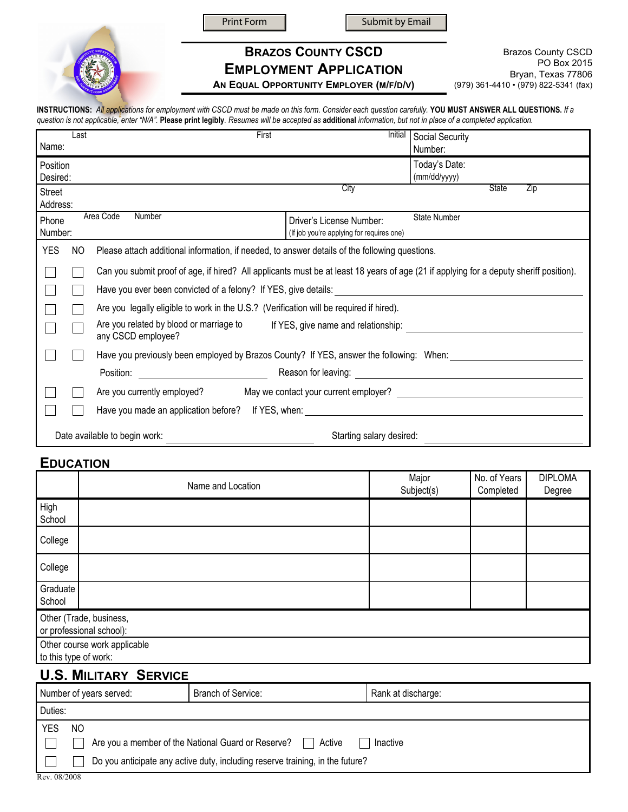Print Form  $\parallel$  Submit by Email



**BRAZOS COUNTY CSCD EMPLOYMENT APPLICATION**

**AN EQUAL OPPORTUNITY EMPLOYER (M/F/D/V)**

Brazos County CSCD PO Box 2015 Bryan, Texas 77806 (979) 361-4410 • (979) 822-5341 (fax)

**INSTRUCTIONS:** *All applications for employment with CSCD must be made on this form. Consider each question carefully.* **YOU MUST ANSWER ALL QUESTIONS.** *If a question is not applicable, enter "N/A".* **Please print legibly***. Resumes will be accepted as* **additional** *information, but not in place of a completed application.* 

| Name:                                                     | Last | First                                                                                                                                  | Initial                                                               | Social Security<br>Number:                                  |  |  |
|-----------------------------------------------------------|------|----------------------------------------------------------------------------------------------------------------------------------------|-----------------------------------------------------------------------|-------------------------------------------------------------|--|--|
| Position<br>Desired:                                      |      |                                                                                                                                        |                                                                       | Today's Date:<br>(mm/dd/yyyy)                               |  |  |
| Street<br>Address:                                        |      |                                                                                                                                        | City                                                                  | <b>State</b><br>Zip                                         |  |  |
| Phone<br>Number:                                          |      | Area Code<br>Number                                                                                                                    | Driver's License Number:<br>(If job you're applying for requires one) | <b>State Number</b>                                         |  |  |
| <b>YES</b>                                                | NO   | Please attach additional information, if needed, to answer details of the following questions.                                         |                                                                       |                                                             |  |  |
|                                                           |      | Can you submit proof of age, if hired? All applicants must be at least 18 years of age (21 if applying for a deputy sheriff position). |                                                                       |                                                             |  |  |
|                                                           |      | Have you ever been convicted of a felony? If YES, give details:                                                                        |                                                                       |                                                             |  |  |
|                                                           |      | Are you legally eligible to work in the U.S.? (Verification will be required if hired).                                                |                                                                       |                                                             |  |  |
|                                                           |      | Are you related by blood or marriage to<br>If YES, give name and relationship:<br>any CSCD employee?                                   |                                                                       |                                                             |  |  |
|                                                           |      | Have you previously been employed by Brazos County? If YES, answer the following: When:                                                |                                                                       |                                                             |  |  |
|                                                           |      | Position:                                                                                                                              | Reason for leaving:                                                   | <u> 1980 - Andrea Station, amerikansk politik (d. 1980)</u> |  |  |
|                                                           |      | Are you currently employed?                                                                                                            |                                                                       |                                                             |  |  |
|                                                           |      | Have you made an application before? If YES, when: The manufacture of the manufacture of the manufacture of the                        |                                                                       |                                                             |  |  |
| Date available to begin work:<br>Starting salary desired: |      |                                                                                                                                        |                                                                       |                                                             |  |  |

#### **EDUCATION**

|                                                     | Name and Location            | Major<br>Subject(s) | No. of Years<br>Completed | <b>DIPLOMA</b><br>Degree |  |
|-----------------------------------------------------|------------------------------|---------------------|---------------------------|--------------------------|--|
| High<br>School                                      |                              |                     |                           |                          |  |
| College                                             |                              |                     |                           |                          |  |
| College                                             |                              |                     |                           |                          |  |
| Graduate<br>School                                  |                              |                     |                           |                          |  |
| Other (Trade, business,<br>or professional school): |                              |                     |                           |                          |  |
| to this type of work:                               | Other course work applicable |                     |                           |                          |  |

# **U.S. MILITARY SERVICE**

| Number of years served: |                                                                               | Branch of Service:                                           | Rank at discharge: |  |  |
|-------------------------|-------------------------------------------------------------------------------|--------------------------------------------------------------|--------------------|--|--|
| Duties:                 |                                                                               |                                                              |                    |  |  |
| <b>YES</b>              | NO.                                                                           |                                                              |                    |  |  |
|                         |                                                                               | Are you a member of the National Guard or Reserve?<br>Active | Inactive           |  |  |
|                         | Do you anticipate any active duty, including reserve training, in the future? |                                                              |                    |  |  |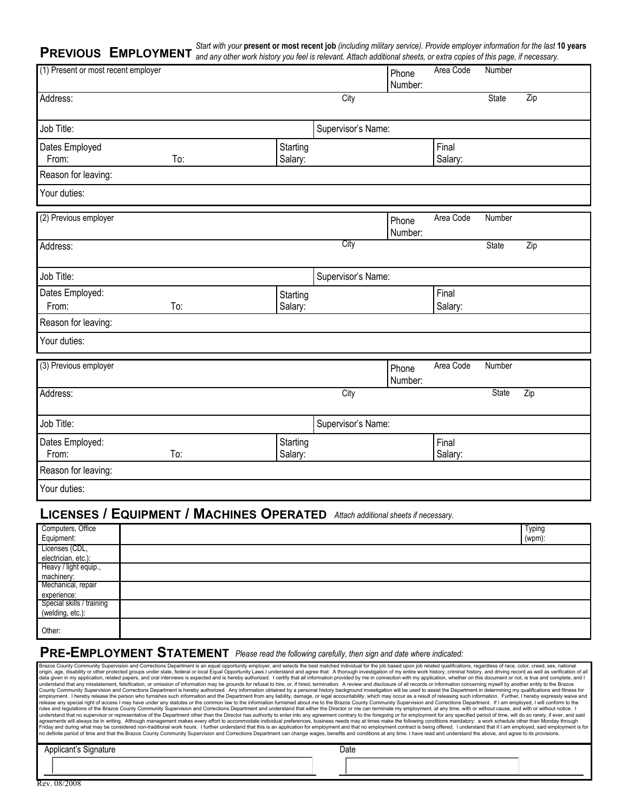**PREVIOUS** EMPLOYMENT and any other work history you feel is relevant. Attach additional sheets, or extra copies of this page, if necessary.

| (1) Present or most recent employer |     |                     |                    | Phone<br>Number: | -- <i>-</i> ---<br>Area Code | Number       |     |
|-------------------------------------|-----|---------------------|--------------------|------------------|------------------------------|--------------|-----|
| Address:                            |     |                     | City               |                  |                              | State        | Zip |
| Job Title:                          |     |                     | Supervisor's Name: |                  |                              |              |     |
| Dates Employed<br>From:             | To: | Starting<br>Salary: |                    |                  | Final<br>Salary:             |              |     |
| Reason for leaving:                 |     |                     |                    |                  |                              |              |     |
| Your duties:                        |     |                     |                    |                  |                              |              |     |
| (2) Previous employer               |     |                     |                    | Phone<br>Number: | Area Code                    | Number       |     |
| Address:                            |     |                     | City               |                  |                              | <b>State</b> | Zip |
| Job Title:                          |     |                     | Supervisor's Name: |                  |                              |              |     |
| Dates Employed:<br>From:            | To: | Starting<br>Salary: |                    |                  | Final<br>Salary:             |              |     |
| Reason for leaving:                 |     |                     |                    |                  |                              |              |     |
| Your duties:                        |     |                     |                    |                  |                              |              |     |
| (3) Previous employer               |     |                     |                    | Phone<br>Number: | Area Code                    | Number       |     |
| Address:                            |     |                     | City               |                  |                              | <b>State</b> | Zip |
| Job Title:                          |     |                     | Supervisor's Name: |                  |                              |              |     |
| Dates Employed:<br>From:            | To: | Starting<br>Salary: |                    |                  | Final<br>Salary:             |              |     |
| Reason for leaving:                 |     |                     |                    |                  |                              |              |     |
| Your duties:                        |     |                     |                    |                  |                              |              |     |

### **LICENSES / EQUIPMENT / MACHINES OPERATED** *Attach additional sheets if necessary.*

| Computers, Office                                            | <b>Typing</b> |
|--------------------------------------------------------------|---------------|
| Equipment:                                                   | $(wpm)$ :     |
| Licenses (CDL,                                               |               |
| electrician, etc.):                                          |               |
| Heavy / light equip.,                                        |               |
| machinery:<br>Mechanical, repair                             |               |
|                                                              |               |
|                                                              |               |
|                                                              |               |
| experience:<br>Special skills / training<br>(welding, etc.): |               |
| Other:                                                       |               |

# **PRE-EMPLOYMENT STATEMENT** *Please read the following carefully, then sign and date where indicated:*

| Brazos County Community Supervision and Corrections Department is an equal opportunity employer, and selects the best matched individual for the job based upon job related qualifications, regardless of race, color, creed,<br>origin, age, disability or other protected groups under state, federal or local Equal Opportunity Laws.I understand and agree that: A thorough investigation of my entire work history, criminal history, and driving record a<br>data given in my application, related papers, and oral interviews is expected and is hereby authorized. I certify that all information provided by me in connection with my application, whether on this document or not, is t<br>understand that any misstatement, falsification, or omission of information may be grounds for refusal to hire, or, if hired, termination. A review and disclosure of all records or information concerning myself by another<br>County Community Supervision and Corrections Department is hereby authorized. Any information obtained by a personal history background investigation will be used to assist the Department in determining my qualifications a<br>employment. I hereby release the person who furnishes such information and the Department from any liability, damage, or legal accountability, which may occur as a result of releasing such information. Further, I hereby ex<br>release any special right of access I may have under any statutes or the common law to the information furnished about me to the Brazos County Community Supervision and Corrections Department. If I am employed, I will conf<br>rules and regulations of the Brazos County Community Supervision and Corrections Department and understand that either the Director or me can terminate my employment, at any time, with or without cause, and with or without<br>understand that no supervisor or representative of the Department other than the Director has authority to enter into any agreement contrary to the foregoing or for employment for any specified period of time, will do so r<br>agreements will always be in writing. Although management makes every effort to accommodate individual preferences, business needs may at times make the following conditions mandatory: a work schedule other than Monday thr<br>no definite period of time and that the Brazos County Community Supervision and Corrections Department can change wages, benefits and conditions at any time. I have read and understand the above, and agree to its provision | Friday and during what may be considered non-traditional work hours. I further understand that this is an application for employment and that no employment contract is being offered. I understand that if I am employed, sai |
|----------------------------------------------------------------------------------------------------------------------------------------------------------------------------------------------------------------------------------------------------------------------------------------------------------------------------------------------------------------------------------------------------------------------------------------------------------------------------------------------------------------------------------------------------------------------------------------------------------------------------------------------------------------------------------------------------------------------------------------------------------------------------------------------------------------------------------------------------------------------------------------------------------------------------------------------------------------------------------------------------------------------------------------------------------------------------------------------------------------------------------------------------------------------------------------------------------------------------------------------------------------------------------------------------------------------------------------------------------------------------------------------------------------------------------------------------------------------------------------------------------------------------------------------------------------------------------------------------------------------------------------------------------------------------------------------------------------------------------------------------------------------------------------------------------------------------------------------------------------------------------------------------------------------------------------------------------------------------------------------------------------------------------------------------------------------------------------------------------------------------------------------------------------------------------------------------------------------------------------------------------------------------------------------------------------------------------------------------------------------------------------------------------------------------------------------------------------------------------------------------------------------------------------------------------------------------------|--------------------------------------------------------------------------------------------------------------------------------------------------------------------------------------------------------------------------------|
| Applicant's Signature                                                                                                                                                                                                                                                                                                                                                                                                                                                                                                                                                                                                                                                                                                                                                                                                                                                                                                                                                                                                                                                                                                                                                                                                                                                                                                                                                                                                                                                                                                                                                                                                                                                                                                                                                                                                                                                                                                                                                                                                                                                                                                                                                                                                                                                                                                                                                                                                                                                                                                                                                            | Date                                                                                                                                                                                                                           |
|                                                                                                                                                                                                                                                                                                                                                                                                                                                                                                                                                                                                                                                                                                                                                                                                                                                                                                                                                                                                                                                                                                                                                                                                                                                                                                                                                                                                                                                                                                                                                                                                                                                                                                                                                                                                                                                                                                                                                                                                                                                                                                                                                                                                                                                                                                                                                                                                                                                                                                                                                                                  |                                                                                                                                                                                                                                |